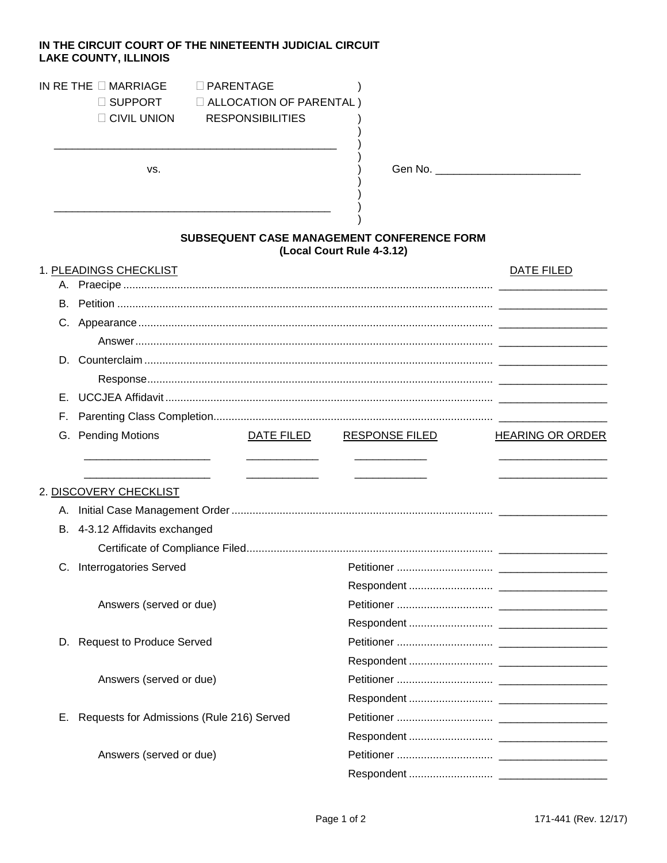## IN THE CIRCUIT COURT OF THE NINETEENTH JUDICIAL CIRCUIT **LAKE COUNTY, ILLINOIS**

## IN RETHE  $\square$  MARRIAGE  $\square$  PARENTAGE

 $\Box$  SUPPORT  $\Box$  ALLOCATION OF PARENTAL ) CIVIL UNION RESPONSIBILITIES  $\lambda$ 

VS.

## SUBSEQUENT CASE MANAGEMENT CONFERENCE FORM (Local Court Rule 4-3.12)

 $\mathcal{E}$ 

|    | 1. PLEADINGS CHECKLIST                    |            |                       | DATE FILED              |
|----|-------------------------------------------|------------|-----------------------|-------------------------|
|    |                                           |            |                       |                         |
|    |                                           |            |                       |                         |
|    |                                           |            |                       |                         |
|    |                                           |            |                       |                         |
|    |                                           |            |                       |                         |
|    |                                           |            |                       |                         |
| Е. |                                           |            |                       |                         |
| F. |                                           |            |                       |                         |
|    | G. Pending Motions                        | DATE FILED | <b>RESPONSE FILED</b> | <b>HEARING OR ORDER</b> |
|    |                                           |            |                       |                         |
|    |                                           |            |                       |                         |
|    | 2. DISCOVERY CHECKLIST                    |            |                       |                         |
|    |                                           |            |                       |                         |
|    | B. 4-3.12 Affidavits exchanged            |            |                       |                         |
|    |                                           |            |                       |                         |
|    | C. Interrogatories Served                 |            |                       |                         |
|    |                                           |            |                       |                         |
|    | Answers (served or due)                   |            |                       |                         |
|    |                                           |            |                       |                         |
|    | D. Request to Produce Served              |            |                       |                         |
|    |                                           |            |                       |                         |
|    | Answers (served or due)                   |            |                       |                         |
|    |                                           |            |                       |                         |
| Е. | Requests for Admissions (Rule 216) Served |            |                       |                         |
|    |                                           |            |                       |                         |
|    | Answers (served or due)                   |            |                       |                         |
|    |                                           |            |                       |                         |